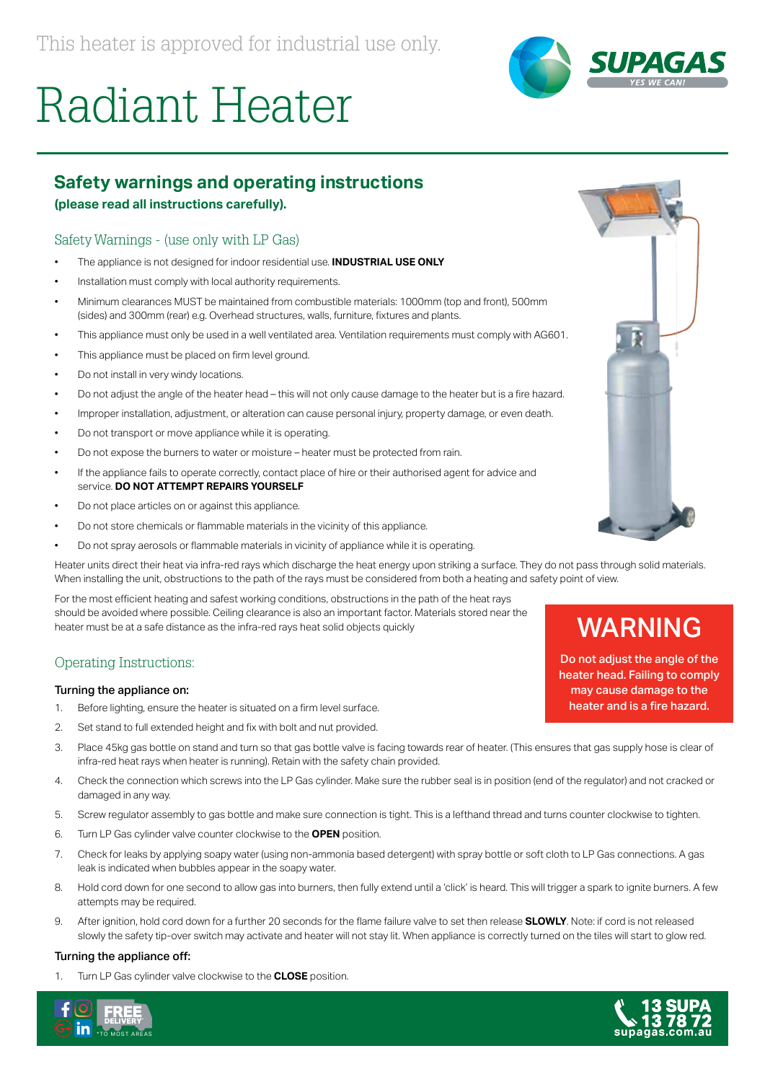



# **Safety warnings and operating instructions**

**(please read all instructions carefully).**

## Safety Warnings - (use only with LP Gas)

- The appliance is not designed for indoor residential use. **INDUSTRIAL USE ONLY**
- Installation must comply with local authority requirements.
- Minimum clearances MUST be maintained from combustible materials: 1000mm (top and front), 500mm (sides) and 300mm (rear) e.g. Overhead structures, walls, furniture, fixtures and plants.
- This appliance must only be used in a well ventilated area. Ventilation requirements must comply with AG601.
- This appliance must be placed on firm level ground.
- Do not install in very windy locations.
- Do not adjust the angle of the heater head this will not only cause damage to the heater but is a fire hazard.
- Improper installation, adjustment, or alteration can cause personal injury, property damage, or even death.
- Do not transport or move appliance while it is operating.
- Do not expose the burners to water or moisture heater must be protected from rain.
- If the appliance fails to operate correctly, contact place of hire or their authorised agent for advice and service. **DO NOT ATTEMPT REPAIRS YOURSELF**
- Do not place articles on or against this appliance.
- Do not store chemicals or flammable materials in the vicinity of this appliance.
- Do not spray aerosols or flammable materials in vicinity of appliance while it is operating.

Heater units direct their heat via infra-red rays which discharge the heat energy upon striking a surface. They do not pass through solid materials. When installing the unit, obstructions to the path of the rays must be considered from both a heating and safety point of view.

For the most efficient heating and safest working conditions, obstructions in the path of the heat rays should be avoided where possible. Ceiling clearance is also an important factor. Materials stored near the heater must be at a safe distance as the infra-red rays heat solid objects quickly

### Operating Instructions:

#### Turning the appliance on:

- 1. Before lighting, ensure the heater is situated on a firm level surface.
- 2. Set stand to full extended height and fix with bolt and nut provided.
- 3. Place 45kg gas bottle on stand and turn so that gas bottle valve is facing towards rear of heater. (This ensures that gas supply hose is clear of infra-red heat rays when heater is running). Retain with the safety chain provided.
- 4. Check the connection which screws into the LP Gas cylinder. Make sure the rubber seal is in position (end of the regulator) and not cracked or damaged in any way.
- 5. Screw regulator assembly to gas bottle and make sure connection is tight. This is a lefthand thread and turns counter clockwise to tighten.
- 6. Turn LP Gas cylinder valve counter clockwise to the **OPEN** position.
- 7. Check for leaks by applying soapy water (using non-ammonia based detergent) with spray bottle or soft cloth to LP Gas connections. A gas leak is indicated when bubbles appear in the soapy water.
- 8. Hold cord down for one second to allow gas into burners, then fully extend until a 'click' is heard. This will trigger a spark to ignite burners. A few attempts may be required.
- 9. After ignition, hold cord down for a further 20 seconds for the flame failure valve to set then release **SLOWLY**. Note: if cord is not released slowly the safety tip-over switch may activate and heater will not stay lit. When appliance is correctly turned on the tiles will start to glow red.

#### Turning the appliance off:

1. Turn LP Gas cylinder valve clockwise to the **CLOSE** position.





# WARNING

Do not adjust the angle of the heater head. Failing to comply may cause damage to the heater and is a fire hazard.